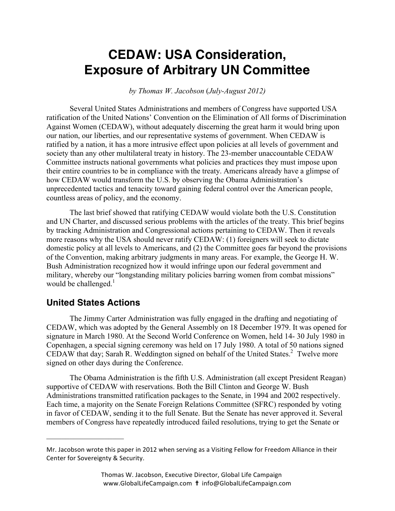# **CEDAW: USA Consideration, Exposure of Arbitrary UN Committee**

*by Thomas W. Jacobson* (*July-August 2012)* 

Several United States Administrations and members of Congress have supported USA ratification of the United Nations' Convention on the Elimination of All forms of Discrimination Against Women (CEDAW), without adequately discerning the great harm it would bring upon our nation, our liberties, and our representative systems of government. When CEDAW is ratified by a nation, it has a more intrusive effect upon policies at all levels of government and society than any other multilateral treaty in history. The 23-member unaccountable CEDAW Committee instructs national governments what policies and practices they must impose upon their entire countries to be in compliance with the treaty. Americans already have a glimpse of how CEDAW would transform the U.S. by observing the Obama Administration's unprecedented tactics and tenacity toward gaining federal control over the American people, countless areas of policy, and the economy.

The last brief showed that ratifying CEDAW would violate both the U.S. Constitution and UN Charter, and discussed serious problems with the articles of the treaty. This brief begins by tracking Administration and Congressional actions pertaining to CEDAW. Then it reveals more reasons why the USA should never ratify CEDAW: (1) foreigners will seek to dictate domestic policy at all levels to Americans, and (2) the Committee goes far beyond the provisions of the Convention, making arbitrary judgments in many areas. For example, the George H. W. Bush Administration recognized how it would infringe upon our federal government and military, whereby our "longstanding military policies barring women from combat missions" would be challenged. $<sup>1</sup>$ </sup>

#### **United States Actions**

 $\mathcal{L}_\text{max}$  , where  $\mathcal{L}_\text{max}$  , we have the set of the set of the set of the set of the set of the set of the set of the set of the set of the set of the set of the set of the set of the set of the set of the set of

The Jimmy Carter Administration was fully engaged in the drafting and negotiating of CEDAW, which was adopted by the General Assembly on 18 December 1979. It was opened for signature in March 1980. At the Second World Conference on Women, held 14- 30 July 1980 in Copenhagen, a special signing ceremony was held on 17 July 1980. A total of 50 nations signed CEDAW that day; Sarah R. Weddington signed on behalf of the United States.<sup>2</sup> Twelve more signed on other days during the Conference.

The Obama Administration is the fifth U.S. Administration (all except President Reagan) supportive of CEDAW with reservations. Both the Bill Clinton and George W. Bush Administrations transmitted ratification packages to the Senate, in 1994 and 2002 respectively. Each time, a majority on the Senate Foreign Relations Committee (SFRC) responded by voting in favor of CEDAW, sending it to the full Senate. But the Senate has never approved it. Several members of Congress have repeatedly introduced failed resolutions, trying to get the Senate or

Mr. Jacobson wrote this paper in 2012 when serving as a Visiting Fellow for Freedom Alliance in their Center for Sovereignty & Security.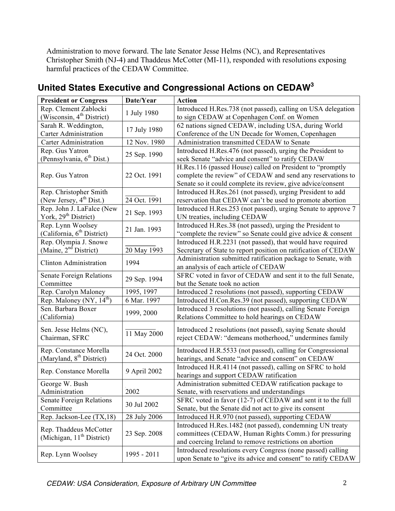Administration to move forward. The late Senator Jesse Helms (NC), and Representatives Christopher Smith (NJ-4) and Thaddeus McCotter (MI-11), responded with resolutions exposing harmful practices of the CEDAW Committee.

| <b>President or Congress</b>                                           | Date/Year                                                | <b>Action</b>                                                  |
|------------------------------------------------------------------------|----------------------------------------------------------|----------------------------------------------------------------|
| Rep. Clement Zablocki                                                  | 1 July 1980                                              | Introduced H.Res.738 (not passed), calling on USA delegation   |
| (Wisconsin, 4 <sup>th</sup> District)                                  |                                                          | to sign CEDAW at Copenhagen Conf. on Women                     |
| Sarah R. Weddington,                                                   | 17 July 1980                                             | 62 nations signed CEDAW, including USA, during World           |
| <b>Carter Administration</b>                                           |                                                          | Conference of the UN Decade for Women, Copenhagen              |
| <b>Carter Administration</b>                                           | 12 Nov. 1980                                             | Administration transmitted CEDAW to Senate                     |
| Rep. Gus Yatron                                                        | 25 Sep. 1990                                             | Introduced H.Res.476 (not passed), urging the President to     |
| (Pennsylvania, 6 <sup>th</sup> Dist.)                                  |                                                          | seek Senate "advice and consent" to ratify CEDAW               |
| Rep. Gus Yatron                                                        | 22 Oct. 1991                                             | H.Res.116 (passed House) called on President to "promptly      |
|                                                                        |                                                          | complete the review" of CEDAW and send any reservations to     |
|                                                                        |                                                          | Senate so it could complete its review, give advice/consent    |
| Rep. Christopher Smith                                                 |                                                          | Introduced H.Res.261 (not passed), urging President to add     |
| (New Jersey, 4 <sup>th</sup> Dist.)                                    | 24 Oct. 1991                                             | reservation that CEDAW can't be used to promote abortion       |
| Rep. John J. LaFalce (New                                              | 21 Sep. 1993                                             | Introduced H.Res.253 (not passed), urging Senate to approve 7  |
| York, 29 <sup>th</sup> District)                                       |                                                          | UN treaties, including CEDAW                                   |
| Rep. Lynn Woolsey                                                      | 21 Jan. 1993                                             | Introduced H.Res.38 (not passed), urging the President to      |
| (California, 6 <sup>th</sup> District)                                 |                                                          | "complete the review" so Senate could give advice & consent    |
| Rep. Olympia J. Snowe                                                  |                                                          | Introduced H.R.2231 (not passed), that would have required     |
| (Maine, $2nd$ District)                                                | 20 May 1993                                              | Secretary of State to report position on ratification of CEDAW |
| <b>Clinton Administration</b>                                          | 1994                                                     | Administration submitted ratification package to Senate, with  |
|                                                                        |                                                          | an analysis of each article of CEDAW                           |
| <b>Senate Foreign Relations</b>                                        | 29 Sep. 1994                                             | SFRC voted in favor of CEDAW and sent it to the full Senate,   |
| Committee                                                              |                                                          | but the Senate took no action                                  |
| Rep. Carolyn Maloney                                                   | 1995, 1997                                               | Introduced 2 resolutions (not passed), supporting CEDAW        |
| Rep. Maloney (NY, 14 <sup>th</sup> )                                   | 6 Mar. 1997                                              | Introduced H.Con.Res.39 (not passed), supporting CEDAW         |
| Sen. Barbara Boxer                                                     | 1999, 2000                                               | Introduced 3 resolutions (not passed), calling Senate Foreign  |
| (California)                                                           |                                                          | Relations Committee to hold hearings on CEDAW                  |
| Sen. Jesse Helms (NC),                                                 |                                                          | Introduced 2 resolutions (not passed), saying Senate should    |
| Chairman, SFRC                                                         | 11 May 2000                                              | reject CEDAW: "demeans motherhood," undermines family          |
|                                                                        |                                                          |                                                                |
| Rep. Constance Morella                                                 | 24 Oct. 2000                                             | Introduced H.R.5533 (not passed), calling for Congressional    |
| (Maryland, 8 <sup>th</sup> District)                                   |                                                          | hearings, and Senate "advice and consent" on CEDAW             |
| Rep. Constance Morella                                                 | 9 April 2002                                             | Introduced H.R.4114 (not passed), calling on SFRC to hold      |
|                                                                        |                                                          | hearings and support CEDAW ratification                        |
| George W. Bush                                                         |                                                          | Administration submitted CEDAW ratification package to         |
| Administration                                                         | 2002                                                     | Senate, with reservations and understandings                   |
| <b>Senate Foreign Relations</b>                                        | 30 Jul 2002                                              | SFRC voted in favor (12-7) of CEDAW and sent it to the full    |
| Committee                                                              |                                                          | Senate, but the Senate did not act to give its consent         |
| Rep. Jackson-Lee (TX,18)                                               | 28 July 2006                                             | Introduced H.R.970 (not passed), supporting CEDAW              |
| Rep. Thaddeus McCotter<br>23 Sep. 2008<br>(Michigan, $11th District$ ) | Introduced H.Res.1482 (not passed), condemning UN treaty |                                                                |
|                                                                        |                                                          | committees (CEDAW, Human Rights Comm.) for pressuring          |
|                                                                        |                                                          | and coercing Ireland to remove restrictions on abortion        |
| Rep. Lynn Woolsey                                                      | 1995 - 2011                                              | Introduced resolutions every Congress (none passed) calling    |
|                                                                        |                                                          | upon Senate to "give its advice and consent" to ratify CEDAW   |

# **United States Executive and Congressional Actions on CEDAW3**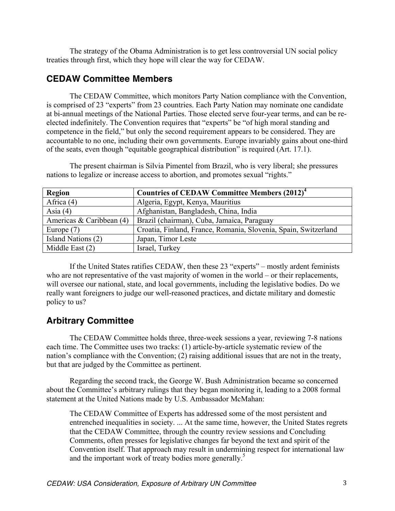The strategy of the Obama Administration is to get less controversial UN social policy treaties through first, which they hope will clear the way for CEDAW.

### **CEDAW Committee Members**

The CEDAW Committee, which monitors Party Nation compliance with the Convention, is comprised of 23 "experts" from 23 countries. Each Party Nation may nominate one candidate at bi-annual meetings of the National Parties. Those elected serve four-year terms, and can be reelected indefinitely. The Convention requires that "experts" be "of high moral standing and competence in the field," but only the second requirement appears to be considered. They are accountable to no one, including their own governments. Europe invariably gains about one-third of the seats, even though "equitable geographical distribution" is required (Art. 17.1).

| <b>Region</b>              | <b>Countries of CEDAW Committee Members (2012)<sup>4</sup></b>  |  |
|----------------------------|-----------------------------------------------------------------|--|
| Africa $(4)$               | Algeria, Egypt, Kenya, Mauritius                                |  |
| Asia $(4)$                 | Afghanistan, Bangladesh, China, India                           |  |
| Americas & Caribbean $(4)$ | Brazil (chairman), Cuba, Jamaica, Paraguay                      |  |
| Europe $(7)$               | Croatia, Finland, France, Romania, Slovenia, Spain, Switzerland |  |
| Island Nations (2)         | Japan, Timor Leste                                              |  |
| Middle East $(2)$          | Israel, Turkey                                                  |  |

The present chairman is Silvia Pimentel from Brazil, who is very liberal; she pressures nations to legalize or increase access to abortion, and promotes sexual "rights."

If the United States ratifies CEDAW, then these 23 "experts" – mostly ardent feminists who are not representative of the vast majority of women in the world – or their replacements, will oversee our national, state, and local governments, including the legislative bodies. Do we really want foreigners to judge our well-reasoned practices, and dictate military and domestic policy to us?

## **Arbitrary Committee**

The CEDAW Committee holds three, three-week sessions a year, reviewing 7-8 nations each time. The Committee uses two tracks: (1) article-by-article systematic review of the nation's compliance with the Convention; (2) raising additional issues that are not in the treaty, but that are judged by the Committee as pertinent.

Regarding the second track, the George W. Bush Administration became so concerned about the Committee's arbitrary rulings that they began monitoring it, leading to a 2008 formal statement at the United Nations made by U.S. Ambassador McMahan:

The CEDAW Committee of Experts has addressed some of the most persistent and entrenched inequalities in society. ... At the same time, however, the United States regrets that the CEDAW Committee, through the country review sessions and Concluding Comments, often presses for legislative changes far beyond the text and spirit of the Convention itself. That approach may result in undermining respect for international law and the important work of treaty bodies more generally.<sup>5</sup>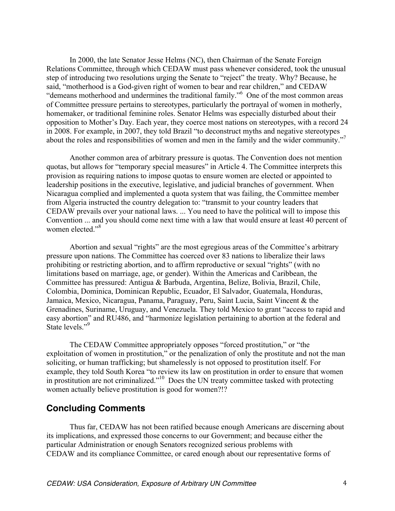In 2000, the late Senator Jesse Helms (NC), then Chairman of the Senate Foreign Relations Committee, through which CEDAW must pass whenever considered, took the unusual step of introducing two resolutions urging the Senate to "reject" the treaty. Why? Because, he said, "motherhood is a God-given right of women to bear and rear children," and CEDAW "demeans motherhood and undermines the traditional family."6 One of the most common areas of Committee pressure pertains to stereotypes, particularly the portrayal of women in motherly, homemaker, or traditional feminine roles. Senator Helms was especially disturbed about their opposition to Mother's Day. Each year, they coerce most nations on stereotypes, with a record 24 in 2008. For example, in 2007, they told Brazil "to deconstruct myths and negative stereotypes about the roles and responsibilities of women and men in the family and the wider community."<sup>7</sup>

Another common area of arbitrary pressure is quotas. The Convention does not mention quotas, but allows for "temporary special measures" in Article 4. The Committee interprets this provision as requiring nations to impose quotas to ensure women are elected or appointed to leadership positions in the executive, legislative, and judicial branches of government. When Nicaragua complied and implemented a quota system that was failing, the Committee member from Algeria instructed the country delegation to: "transmit to your country leaders that CEDAW prevails over your national laws. ... You need to have the political will to impose this Convention ... and you should come next time with a law that would ensure at least 40 percent of women elected."<sup>8</sup>

Abortion and sexual "rights" are the most egregious areas of the Committee's arbitrary pressure upon nations. The Committee has coerced over 83 nations to liberalize their laws prohibiting or restricting abortion, and to affirm reproductive or sexual "rights" (with no limitations based on marriage, age, or gender). Within the Americas and Caribbean, the Committee has pressured: Antigua & Barbuda, Argentina, Belize, Bolivia, Brazil, Chile, Colombia, Dominica, Dominican Republic, Ecuador, El Salvador, Guatemala, Honduras, Jamaica, Mexico, Nicaragua, Panama, Paraguay, Peru, Saint Lucia, Saint Vincent & the Grenadines, Suriname, Uruguay, and Venezuela. They told Mexico to grant "access to rapid and easy abortion" and RU486, and "harmonize legislation pertaining to abortion at the federal and State levels."<sup>9</sup>

The CEDAW Committee appropriately opposes "forced prostitution," or "the exploitation of women in prostitution," or the penalization of only the prostitute and not the man soliciting, or human trafficking; but shamelessly is not opposed to prostitution itself. For example, they told South Korea "to review its law on prostitution in order to ensure that women in prostitution are not criminalized."<sup>10</sup> Does the UN treaty committee tasked with protecting women actually believe prostitution is good for women?!?

#### **Concluding Comments**

Thus far, CEDAW has not been ratified because enough Americans are discerning about its implications, and expressed those concerns to our Government; and because either the particular Administration or enough Senators recognized serious problems with CEDAW and its compliance Committee, or cared enough about our representative forms of